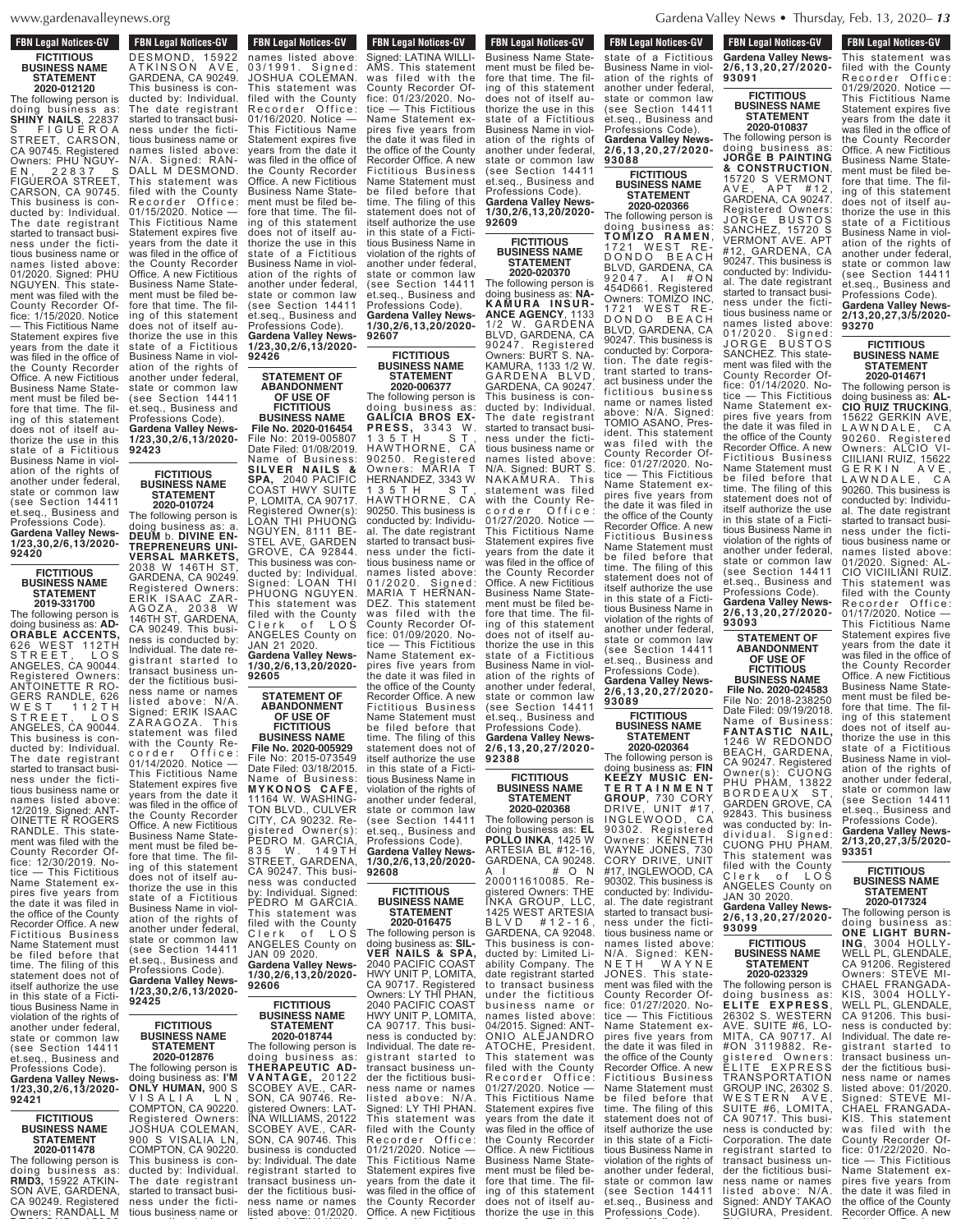**RMS, Organization**  $\mathcal{S}^{\text{S.15,15,16}}$ 

## **FBN Legal Notices-GV FICTITIOUS BUSINESS NAME STATEMENT**

**2020-012120** The following person is doing business as: **SHINY NAILS**, 22837 S FIGUEROA STREET, CARSON, CA 90745. Registered Owners: PHU NGUY-E N , 2 2 8 3 7 S FIGUEROA STREET, CARSON, CA 90745. This business is conducted by: Individual. The date registrant started to transact business under the fictitious business name or names listed above: 01/2020. Signed: PHU NGUYEN. This statement was filed with the County Recorder Office: 1/15/2020. Notice — This Fictitious Name Statement expires five years from the date it was filed in the office of the County Recorder Office. A new Fictitious Business Name Statement must be filed before that time. The filing of this statement does not of itself authorize the use in this state of a Fictitious Business Name in violation of the rights of another under federal, state or common law (see Section 14411 et.seq., Business and Professions Code). **Gardena Valley News-1/23,30,2/6,13/2020- 92420**

## **FICTITIOUS BUSINESS NAME STATEMENT**

**2019-331700** The following person is doing business as: **AD-ORABLE ACCENTS,** 626 WEST 112TH S T R E E T , L O S ANGELES, CA 90044. Registered Owners: ANTOINETTE R RO-GERS RANDLE, 626 W E S T 1 1 2 T H S T R E E T , L O S ANGELES, CA 90044. This business is conducted by: Individual. The date registrant started to transact business under the fictitious business name or names listed above: 12/2019. Signed: ANT-OINETTE R ROGERS RANDLE. This statement was filed with the County Recorder Office: 12/30/2019. No-<br>tice — This Fictitious - This Fictitious Name Statement expires five years from the date it was filed in the office of the County Recorder Office. A new Fictitious Business Name Statement must be filed before that time. The filing of this statement does not of itself authorize the use in this state of a Fictitious Business Name in violation of the rights of another under federal, state or common law (see Section 14411

et.seq., Business and Professions Code). **Gardena Valley News-1/23,30,2/6,13/2020-**

## **FICTITIOUS BUSINESS NAME STATEMENT**

**92421**

**2020-011478** The following person is doing business as: **RMD3,** 15922 ATKIN-SON AVE, GARDENA, CA 90249. Registered Owners: RANDALL M

**FBN Legal Notices-GV TEN LEGAL MULLES-GV** DESMOND, 15922 ATKINSON AVE, GARDENA, CA 90249. This business is conducted by: Individual. The date registrant started to transact business under the fictitious business name or names listed above: N/A. Signed: RAN-DALL M DESMOND. This statement was filed with the County Recorder Office: 01/15/2020. Notice — This Fictitious Name Statement expires five years from the date it was filed in the office of the County Recorder Office. A new Fictitious Business Name Statement must be filed before that time. The filing of this statement does not of itself authorize the use in this state of a Fictitious Business Name in violation of the rights of another under federal, state or common law state of common rand

et.seq., Business and Professions Code). **Gardena Valley News-1/23,30,2/6,13/2020- 92423**

#### **FICTITIOUS BUSINESS NAME STATEMENT 2020-010724**

**92606** The following person is doing business as: a. **DEUM** b. **DIVINE EN-TREPRENEURS UNI-VERSAL MARKETS,** 2038 W 146TH ST, GARDENA, CA 90249. Registered Owners: ERIK ISAAC ZAR-AGOZA, 2038 W 146TH ST, GARDENA, CA 90249. This business is conducted by: Individual. The date registrant started to transact business under the fictitious business name or names<br>listed above: N/A listed above: Signed: ERIK ISAAC ZARAGOZA. This statement was filed with the County Recorder Office: 01/14/2020. Notice This Fictitious Name Statement expires five years from the date it was filed in the office of the County Recorder Office. A new Fictitious Business Name Statement must be filed before that time. The filing of this statement does not of itself authorize the use in this state of a Fictitious Business Name in violation of the rights of another under federal, state or common law (see Section 14411 et.seq., Business and Professions Code). **Gardena Valley News-1/23,30,2/6,13/2020- 92425**

**FICTITIOUS BUSINESS NAME**

## **STATEMENT 2020-012876**<br>The following person The following person is doing business as: **I'M ONLY HUMAN,** 900 S VISALIA LN, COMPTON, CA 90220. Registered Owners: JOSHUA COLEMAN, 900 S VISALIA LN, COMPTON, CA 90220. This business is con-

**FBN Legal Notices-GV** rbin Leyal Nutles-dv names listed above:<br>03/1991. Signed: 03/1991. Signed: JOSHUA COLEMAN. This statement was filed with the County Recorder Office: 01/16/2020. Notice -This Fictitious Name Statement expires five years from the date it was filed in the office of the County Recorder Office. A new Fictitious Business Name Statement must be filed before that time. The filing of this statement does not of itself authorize the use in this state of a Fictitious Business Name in violation of the rights of another under federal, state or common law (see Section 14411 et.seq., Business and Professions Code). **Gardena Valley News-**

**1/23,30,2/6,13/2020- 92426**

> **STATEMENT OF ABANDONMENT OF USE OF FICTITIOUS**

## **BUSINESS NAME File No. 2020-016454**

File No: 2019-005807 Date Filed: 01/08/2019. Name of Business: **SILVE R N A ILS & SPA,** 2040 PACIFIC COAST HWY SUITE P, LOMITA, CA 90717. Registered Owner(s): LOAN THI PHUONG NGUYEN, 8111 BE-STEL AVE, GARDEN GROVE, CA 92844. This business was conducted by: Individual. Signed: LOAN THI PHUONG NGUYEN. This statement was filed with the County<br>Clerk of LOS Clerk of LOS ANGELES County on JAN 21 2020. **Gardena Valley News-1/30,2/6,13,20/2020- 92605**

## **STATEMENT OF ABANDONMENT OF USE OF FICTITIOUS**

**BUSINESS NAME File No. 2020-005929** File No: 2015-073549 Date Filed: 03/18/2015. Name of Business: **M Y KONOS C A FE,** 11164 W. WASHING-TON BLVD., CULVER CITY, CA 90232. Registered Owner(s): PEDRO M. GARCIA, 835 W. 149TH STREET, GARDENA, CA 90247. This business was conducted<br>by: Individual. Signed: PEDRO M GARCIA This statement was filed with the County Clerk of LOS ANGELES County on JAN 09 2020. **Gardena Valley News-1/30,2/6,13,20/2020-**

#### **FICTITIOUS BUSINESS NAME STATEMENT 2020-018744**

The following person is doing business as: **FAPEUTIC V A N T AGE,** 2 0 1 2 2 SCOBEY AVE., CAR-SON, CA 90746. Registered Owners: LAT-INA WILLIAMS, 20122 SCOBEY AVE., CAR-SON, CA 90746. This business is conducted by: Individual. The date registrant started to transact business under the fictitious business name or names listed above:  $01/2020$ . ducted by: Individual. The date registrant started to transact business under the fictitious business name or

**92609 FBN Legal Notices-GV Listed about a control of the above above** Signed: LATINA WILLI-AMS. This statement was filed with the County Recorder Office:  $01/23/2020$ . No-<br>tice - This Fictitious This Fictitious Name Statement expires five years from the date it was filed in the office of the County Recorder Office. A new Fictitious Business Name Statement must be filed before that time. The filing of this statement does not of itself authorize the use in this state of a Fictitious Business Name in violation of the rights of another under federal, state or common law (see Section 14411)<br>et.seq., Business and Business and

Professions Code). **Gardena Valley News-1/30,2/6,13,20/2020- 92607**

> **FICTITIOUS BUSINESS NAME STATEMENT**

**2020-006377** The following person is doing business as: **GALICIA BROS EX-P R ESS,** 3 3 4 3 W . 135 T H S T , HAWTHORNE, CA 90250. Registered Owners: MARIA T HERNANDEZ, 3343 W<br>1 3 5 T H \_ S T , 135TH ST,<br>HAWTHORNF CA HAWTHORNE, 90250. This business is conducted by: Individual. The date registrant started to transact business under the fictitious business name or names listed above: 01/2020. Signed: MARIA T HERNAN-DEZ. This statement was filed with the County Recorder Office: 01/09/2020. Notice — This Fictitious Name Statement expires five years from the date it was filed in the office of the County Recorder Office. A new Fictitious Business Name Statement must be filed before that<br>time. The filing of this The filing of this statement does not of itself authorize the use in this state of a Fictitious Business Name in violation of the rights of another under federal, state or common law (see Section 14411 et.seq., Business and Professions Code). **Gardena Valley News-1/30,2/6,13,20/2020- 92608**

## **FICTITIOUS BUSINESS NAME STATEMENT 2020-016475**

The following person is doing business as: **SIL-VER NAILS & SPA,** 2040 PACIFIC COAST HWY UNIT P, LOMITA, CA 90717. Registered Owners: LY THI PHAN, 2040 PACIFIC COAST HWY UNIT P, LOMITA, CA 90717. This business is conducted by: Individual. The date registrant started to transact business under the fictitious business name or names listed above: N/A. Signed: LY THI PHAN. This statement was filed with the County Recorder Office: 01/21/2020. Notice — This Fictitious Name Statement expires five years from the date it was filed in the office of the County Recorder Office. A new Fictitious

**FBN Legal Notices-GV THORIZE THE USE IN THE USE IN THE USE IN THE USE IN THE USE** state of a Fictitious Business Name in violation of the rights of another under federal, state or common law (see Section 14411 et.seq., Business and Professions Code). **Gardena Valley News-2/6,13,20,27/2020- 93088 BUSINESS NAME FBN Legal Notices-GV FIGURE FIGURES** Business Name Statement must be filed before that time. The filing of this statement does not of itself authorize the use in this state of a Fictitious Business Name in violation of the rights of another under federal, state or common law (see Section 14411 et.seq., Business and Professions Code). **Gardena Valley News-1/30,2/6,13,20/2020-**

**FICTITIOUS**

**STATEMENT 2020-020366**

state or common law (see Section 14411 et.seq., Business and Professions Code).

> **FICTITIOUS BUSINESS NAME STATEMENT 2020-020364**

ness under the fictitious business name or names listed above: N/A. Signed: KEN-

**93089**

**FICTITIOUS BUSINESS NAME STATEMENT 2020-020370**

The following person is doing business as: **NA-K A M U R A I N S U R - ANCE AGENCY**, 1133 1/2 W. GARDENA BLVD, GARDENA, CA 90247. Registered Owners: BURT S. NA-KAMURA, 1133 1/2 W. GARDENA BLVD, GARDENA, CA 90247. This business is conducted by: Individual. The date registrant started to transact business under the fictitious business name or names listed above: N/A. Signed: BURT S. NAKAMURA. This statement was filed with the County Recorder Office: 01/27/2020. Notice — This Fictitious Name Statement expires five years from the date it was filed in the office of the County Recorder Office. A new Fictitious Business Name Statement must be filed before that time. The filing of this statement does not of itself authorize the use in this state of a Fictitious Business Name in violation of the rights of another under federal, state or common law (see Section 14411 et.seq., Business and Professions Code).

**Gardena Valley News-2/6,13,20,27/2020-**

The following person is doing business as: **EL POLLO INKA**, 1425 W ARTESIA BL #12-16, GARDENA, CA 90248.<br>A I # O\_N A I # O N 200011610085. Registered Owners: THE INKA GROUP, LLC, 1425 WEST ARTESIA  $BLVD$  #12-16, GARDENA, CA 92048. This business is conducted by: Limited Liability Company. The date registrant started to transact business under the fictitious business name or names listed above: 04/2015. Signed: ANT-ONIO ALEJANDRO ATOCHE, President. This statement was filed with the County Recorder Office: 01/27/2020. Notice — This Fictitious Name Statement expires five years from the date it was filed in the office of the County Recorder Office. A new Fictitious Business Name Statement must be filed before that time. The filing of this statement does not of itself authorize the use in this

#### **FBN Legal Notices-GV Profession**<br> **Profession Gardena Valley News-2/6,13,20,27/2020- 93091**

## **FICTITIOUS BUSINESS NAME STATEMENT 2020-010837**

The following person is doing business as: **JORGE B PAINTING & CONSTRUCTION**, 15720 S VERMONT A V E , A P T # 12 , GARDENA, CA 90247. Registered Owners: JORGE BUSTOS SANCHEZ, 15720 S VERMONT AVE. APT #12, GARDENA, CA 90247. This business is conducted by: Individual. The date registrant started to transact business under the fictitious business name or names listed above: 01/2020. Signed: JORGE BUSTOS SANCHEZ. This statement was filed with the County Recorder Office: 01/14/2020. No-<br>tice — This Fictitious This Fictitious Name Statement expires five years from the date it was filed in the office of the County Recorder Office. A new Fictitious Business Name Statement must be filed before that time. The filing of this statement does not of itself authorize the use in this state of a Fictitious Business Name in violation of the rights of another under federal, state or common law (see Section 14411 et.seq., Business and Professions Code). **Gardena Valley News-2/6,13,20,27/2020- 93093** The following person is doing business as: **T O M I Z O R A M E N** , 1721 WEST RE-D O N D O B E A C H BLVD, GARDENA, CA 9 2 0 4 7 . A I # O N 454D661. Registered Owners: TOMIZO INC, 1721 WEST RE-D O N D O B E A C H BLVD, GARDENA, CA 90247. This business is conducted by: Corporation. The date registion. The date regis-<br>trant started to transact business under the fictitious business name or names listed above: N/A. Signed: TOMIO ASANO, President. This statement was filed with the County Recorder Office: 01/27/2020. Notice — This Fictitious Name Statement expires five years from the date it was filed in the office of the County Recorder Office. A new Fictitious Business Name Statement must be filed before that time. The filing of this statement does not of itself authorize the use in this state of a Fictitious Business Name in violation of the rights of another under federal,

## **STATEMENT OF ABANDONMENT OF USE OF FICTITIOUS**

**BUSINESS NAME File No. 2020-024583** File No: 2018-238250 Date Filed: 09/19/2018. Name of Business: **FANTASTIC NAIL,** 1246 W REDONDO BEACH, GARDENA, CA 90247. Registered Owner(s): CUONG<br>PHIJ PHAM 13822 PHU PHAM, 13822 BORDEAUX ST, GARDEN GROVE, CA 92843. This business was conducted by: Individual. Signed: CUONG PHU PHAM. This statement was filed with the County Clerk of LOS ANGELES County on JAN 30 2020. **Gardena Valley News-2/6,13,20,27/2020-** The following person is doing business as: **FIN KEEZY MUSIC EN-T E R T A I N M E N T GROUP**, 730 CORY DRIVE, UNIT #17, INGLEWOOD, CA 90302. Registered Owners: KENNETH WAYNE JONES, 730 CORY DRIVE, UNIT #17, INGLEWOOD, CA 90302. This business is conducted by: Individual. The date registrant started to transact busi-

**Gardena Valley News-2/6,13,20,27/2020- 93099**

## **FICTITIOUS BUSINESS NAME STATEMENT**

**2020-023329** The following person is doing business as: **EL I TE EXP R ESS**, 26302 S. WESTERN AVE. SUITE #6, LO-MITA, CA 90717. AI #ON 3119882. Registered Owners: ELITE EXPRESS ELITE EXPRESS GROUP INC, 26302 S.<br>WESTERN AVE WESTERN AVE, SUITE #6, LOMITA, CA 90717. This business is conducted by: Corporation. The date registrant started to transact business under the fictitious business name or names listed above: N/A. Signed: ANDY TAKAO<br>SUGIURA, President.<br>. N E T H W A Y N E JONES. This statement was filed with the County Recorder Office: 01/27/2020. Notice — This Fictitious Name Statement expires five years from the date it was filed in the office of the County Recorder Office. A new Fictitious Business Name Statement must be filed before that time. The filing of this statement does not of itself authorize the use in this state of a Fictitious Business Name in violation of the rights of another under federal, state or common law (see Section 14411 et.seq., Business and Professions Code). **Gardena Valley News-**

**FBN Legal Notices-GV FUGIURA NUMBER 1999** This statement was filed with the County Recorder Office: 01/29/2020. Notice — This Fictitious Name Statement expires five years from the date it was filed in the office of the County Recorder Office. A new Fictitious Business Name Statement must be filed before that time. The filing of this statement does not of itself authorize the use in this state of a Fictitious Business Name in violation of the rights of another under federal, state or common law (see Section 14411 et.seq., Business and Professions Code). **Gardena Valley News-2/13,20,27,3/5/2020-**

#### **FICTITIOUS BUSINESS NAME STATEMENT 2020-014671**

The following person is

**93270**

doing business as: **AL-CIO RUIZ TRUCKING**, 15622 GERKIN AVE, L A W N D A L E , C A 90260. Registered Owners: ALCIO VI-CIILIANI RUIZ, 15622 GERKIN AVE, LAWNDALE, CA 90260. This business is conducted by: Individual. The date registrant started to transact business under the fictitious business name or names listed above: 01/2020. Signed: AL-CIO VICIILIANI RUIZ. This statement was filed with the County Recorder Office: 01/17/2020. Notice — This Fictitious Name Statement expires five years from the date it was filed in the office of the County Recorder Office. A new Fictitious Business Name Statement must be filed before that time. The filing of this statement does not of itself authorize the use in this state of a Fictitious Business Name in violation of the rights of another under federal, state or common law (see Section 14411 et.seq., Business and Professions Code). **Gardena Valley News-2/13,20,27,3/5/2020- 93351**

## **FICTITIOUS BUSINESS NAME STATEMENT 2020-017324**

The following person is doing business as: **ONE LIGHT BURN-ING**, 3004 HOLLY-WELL PL, GLENDALE, CA 91206. Registered Owners: STEVE MI-CHAEL FRANGADA-KIS, 3004 HOLLY-WELL PL, GLENDALE, CA 91206. This business is conducted by: Individual. The date registrant started to transact business under the fictitious business name or names listed above: 01/2020. Signed: STEVE MI-CHAEL FRANGADA-KIS. This statement was filed with the County Recorder Office: 01/22/2020. Notice — This Fictitious Name Statement ex-<br>pires five years from pires five years from the date it was filed in the office of the County Recorder Office. A new

# **92388 FICTITIOUS BUSINESS NAME STATEMENT 2020-020368**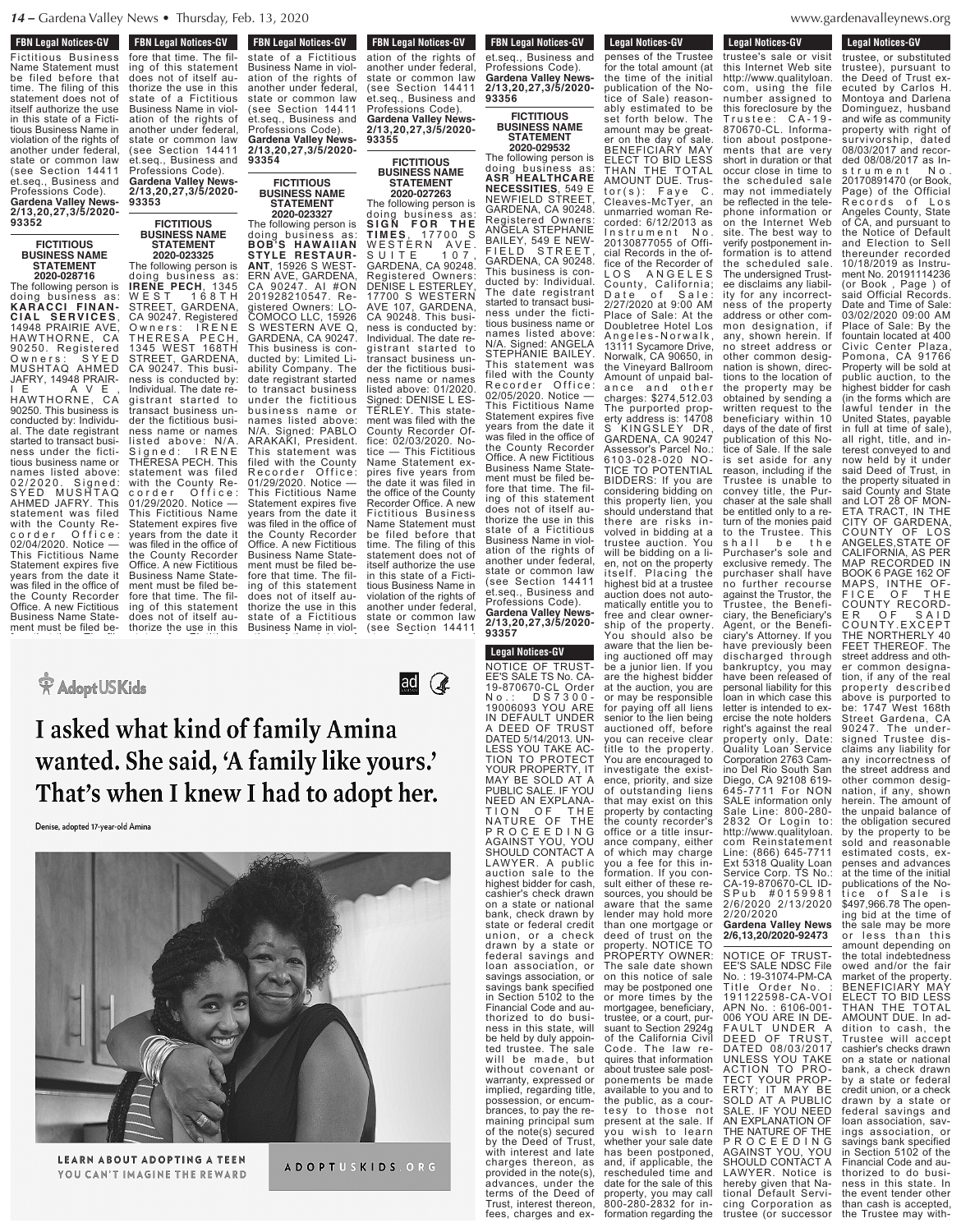**FBN Legal Notices-GV** 

**Requirement Office**<br> **Report** Office. A new order Fictitious Business Name Statement must be filed before that time. The filing of this statement does not of itself authorize the use in this state of a Fictitious Business Name in violation of the rights of another under federal, state or common law (see Section 14411 et.seq., Business and Professions Code). **Gardena Valley News-2/13,20,27,3/5/2020- 93352**

#### **FICTITIOUS BUSINESS NAME STATEMENT 2020-028716**

The following person is doing business as: **KARACCI FINAN-C I A L S E R V I C E S** , 14948 PRAIRIE AVE, HAWTHORNE, CA 90250. Registered O w n e r s : S Y E D MUSHTAQ AHMED JAFRY, 14948 PRAIR-I E A V E , HAWTHORNE, CA 90250. This business is conducted by: Individual. The date registrant started to transact business under the fictitious business name or names listed above: 02/2020. Signed: SYED MUSHTAQ AHMED JAFRY. This statement was filed with the County Recorder Office: 02/04/2020. Notice — This Fictitious Name Statement expires five years from the date it was filed in the office of the County Recorder Office. A new Fictitious Business Name Statement must be filed be-

another under federal, **93354 FBN Legal Notices-GV FON LEGAL MULLES-GV** fore that time. The filing of this statement does not of itself authorize the use in this state of a Fictitious Business Name in violation of the rights of another under federal, state or common law (see Section 14411 et.seq., Business and Professions Code). **Gardena Valley News-2/13,20,27,3/5/2020- 93353**

## **FICTITIOUS BUSINESS NAME STATEMENT 2020-023325** The following person is

**ANT**, 15926 S WEST-ERN AVE, GARDENA, CA 90247. AI #ON 201928210547. Registered Owners: LO-COMOCO LLC, 15926 S WESTERN AVE Q, GARDENA, CA 90247. This business is conducted by: Limited Liability Company. The date registrant started to transact business under the fictitious business name or names listed above: N/A. Signed: PABLO ARAKAKI, President. This statement was doing business as: **IRENE PECH**, 1345 W E S T 1 6 8 T H STREET, GARDENA, CA 90247. Registered Owners: IRENE THERESA PECH, 1345 WEST 168TH STREET, GARDENA, CA 90247. This business is conducted by: Individual. The date registrant started to transact business under the fictitious business name or names listed above: N/A. Signed: IRENE

#### state or common law ids Section 14411 thorize the use in this  $\mathbb{S}$  A Fig. 110 **Business National Properties** ation of the rights of

Denise, adopted 17-year-old Amina

 $\mathbf{I}$  state of contract  $\mathbf{I}$ ee Section 1445Kee S  $\epsilon$  and  $\epsilon$ **wanted. 2/13,20,27,3/5/2020-**

filed with the County Recorder Office: 01/29/2020. Notice — This Fictitious Name Statement expires five years from the date it was filed in the office of the County Recorder Office. A new Fictitious Business Name Statement must be filed before that time. The filing of this statement does not of itself authorize the use in this state of a Fictitious Business Name in viol-THERESA PECH. This statement was filed with the County Recorder Office: 01/29/2020. Notice — This Fictitious Name Statement expires five years from the date it was filed in the office of the County Recorder Office. A new Fictitious Business Name Statement must be filed before that time. The filing of this statement does not of itself authorize the use in this state of a Fiction of a Fiction

**93355** Professions Code). **Gardena Valley News-**

That's when I knew I had to adopt her.

**2/13,20,27,3/5/2020-**

**93354**

**FBN Legal Notices-GV FUSICAL BUSINESS OF** ation of the rights of another under federal, state or common law (see Section 14411 et.seq., Business and Professions Code). **Gardena Valley News-2/13,20,27,3/5/2020- 93355** et.seq., Business and

**FBN Legal Notices-GV** 

**THORIZE THE USE IN THE USE IN THE USE IN THE USE IN THE USE** state of a Fictitious Business Name in violation of the rights of

state or common law (see Section 14411

Professions Code). **Gardena Valley News-2/13,20,27,3/5/2020-**

**FICTITIOUS BUSINESS NAME STATEMENT 2020-023327** The following person is doing business as: **BOB'S HAWAIIAN STYLE RESTAUR-**

**FICTITIOUS BUSINESS NAME STATEMENT 2020-027263**

The following person is doing business as: **S I G N F O R T H E T I M E S** , 1 7 7 0 0 S WESTERN AVE. S U I T E 107, GARDENA, CA 90248. Registered Owners: DENISE L ESTERLEY, 17700 S WESTERN AVE 107, GARDENA, CA 90248. This business is conducted by: Individual. The date registrant started to transact business under the fictitious business name or names listed above: 01/2020. Signed: DENISE L ES-TERLEY. This statement was filed with the County Recorder Office: 02/03/2020. Notice — This Fictitious Name Statement expires five years from the date it was filed in the office of the County Recorder Office. A new Fictitious Business Name Statement must be filed before that time. The filing of this statement does not of itself authorize the use in this state of a Fictitious Business Name in violation of the rights of another under federal, state or common law (see Section 14411

**93357 Legal Notices-GV** NOTICE OF TRUST-EE'S SALE TS No. CA-19-870670-CL Order

N o . : D S 7 3 0 0 - 19006093 YOU ARE IN DEFAULT UNDER A DEED OF TRUST DATED 5/14/2013. UN-LESS YOU TAKE AC-TION TO PROTECT YOUR PROPERTY, IT MAY BE SOLD AT A PUBLIC SALE. IF YOU NEED AN EXPLANA-TION OF THE NATURE OF THE P R O C E E D I N G AGAINST YOU, YOU SHOULD CONTACT A LAWYER. A public auction sale to the highest bidder for cash, cashier's check drawn manuscributed for easing<br>cashier's check drawn<br>on a state or national bank, check drawn by state or federal credit union, or a check drawn by a state or federal savings and loan association, or savings association, or savings bank specified in Section 5102 to the Financial Code and authorized to do business in this state, will be held by duly appointed trustee. The sale will be made, but without covenant or warranty, expressed or implied, regarding title, possession, or encumbrances, to pay the remaining principal sum of the note(s) secured by the Deed of Trust, with interest and late charges thereon, as provided in the note(s), advances, under the terms of the Deed of Trust, interest thereon, fees, charges and ex-

**Trustees-GV Equal Nutrices-GV** penses of the Trustee

**FBN Legal Notices-GV FON LEGAL NULLES-GV** et.seq., Business and Professions Code). **Gardena Valley News-2/13,20,27,3/5/2020- 93356 FICTITIOUS BUSINESS NAME STATEMENT 2020-029532** The following person is doing business as: **ASR HEALTHCARE NECESSITIES**, 549 E NEWFIELD STREET, GARDENA, CA 90248. Registered Owners: ANGELA STEPHANIE BAILEY, 549 E NEW-FIELD STREET, GARDENA, CA 90248. This business is conducted by: Individual. The date registrant started to transact business under the fictitious business name or names listed above: N/A. Signed: ANGELA STEPHANIE BAILEY. This statement was filed with the County Recorder Office: 02/05/2020. Notice —

charges: \$274,512.03 The purported property address is: 14708 S KINGSLEY DR, GARDENA, CA 90247 Assessor's Parcel No.: 6103-028-020 NO-TICE TO POTENTIAL BIDDERS: If you are considering bidding on this property lien, you should understand that there are risks involved in bidding at a trustee auction. You will be bidding on a lien, not on the property itself. Placing the highest bid at a trustee auction does not automatically entitle you to free and clear ownership of the property. This Fictitious Name Statement expires five years from the date it was filed in the office of the County Recorder Office. A new Fictitious Business Name Statement must be filed before that time. The filing of this statement does not of itself authorize the use in this state of a Fictitious Business Name in violation of the rights of another under federal, state or common law (see Section 14411 et.seq., Business and Professions Code). **Gardena Valley News-2/13,20,27,3/5/2020-**

You should also be aware that the lien being auctioned off may be a junior lien. If you are the highest bidder at the auction, you are or may be responsible for paying off all liens senior to the lien being auctioned off, before you can receive clear title to the property. You are encouraged to investigate the existence, priority, and size of outstanding liens that may exist on this property by contacting the county recorder's office or a title insurance company, either of which may charge you a fee for this information. If you consult either of these resources, you should be aware that the same lender may hold more than one mortgage or deed of trust on the property. NOTICE TO PROPERTY OWNER: The sale date shown on this notice of sale may be postponed one or more times by the mortgagee, beneficiary, trustee, or a court, pursuant to Section 2924g of the California Civil Code. The law requires that information about trustee sale postponements be made available to you and to the public, as a courtesy to those not present at the sale. If you wish to learn whether your sale date has been postponed, and, if applicable, the rescheduled time and date for the sale of this property, you may call<br>800-280-2832 for in-

denavalleynews.org  $t^{\text{intra}}$  $WWW.\overline{9}$ property in the call of  $\sim$ 

**Legal Notices-GV** 

Legal Nutries-GV trustee, or substituted trustee), pursuant to the Deed of Trust executed by Carlos H. Montoya and Darlena Dominguez, husband and wife as community property with right of survivorship, dated 08/03/2017 and recorded 08/08/2017 as Instrument No. 20170891470 (or Book, Page) of the Official Records of Los

**Example 1300-2833 Equal Nutrices-GV** trustee's sale or visit this Internet Web site http://www.qualityloan. com, using the file number assigned to this foreclosure by the T r u s t e e : C A - 1 9 - 870670-CL. Information about postponements that are very short in duration or that occur close in time to the scheduled sale may not immediately be reflected in the telephone information or on the Internet Web site. The best way to verify postponement information is to attend the scheduled sale. The undersigned Trustee disclaims any liability for any incorrectness of the property address or other common designation, if any, shown herein. If no street address or other common designation is shown, directions to the location of the property may be obtained by sending a written request to the beneficiary within 10 days of the date of first publication of this Notice of Sale. If the sale is set aside for any reason, including if the Trustee is unable to convey title, the Purchaser at the sale shall be entitled only to a return of the monies paid to the Trustee. This shall be the Purchaser's sole and exclusive remedy. The purchaser shall have no further recourse against the Trustor, the Trustee, the Beneficiary, the Beneficiary's Agent, or the Beneficiary's Attorney. If you have previously been discharged through bankruptcy, you may have been released of personal liability for this loan in which case this letter is intended to exercise the note holders right's against the real property only. Date: Quality Loan Service Corporation 2763 Camino Del Rio South San Diego, CA 92108 619- 645-7711 For NON SALE information only Sale Line: 800-280- 2832 Or Login to: http://www.qualityloan. com Reinstatement Line: (866) 645-7711 Ext 5318 Quality Loan Service Corp. TS No.: CA-19-870670-CL ID-S P u b # 0 1 5 9 9 8 1 2/6/2020 2/13/2020 2/20/2020 **Gardena Valley News 2/6,13,20/2020-92473** for the total amount (at the time of the initial publication of the Notice of Sale) reasonably estimated to be set forth below. The amount may be greater on the day of sale. BENEFICIARY MAY ELECT TO BID LESS THAN THE TOTAL AMOUNT DUE. Trustor(s): Faye C. Cleaves-McTyer, an unmarried woman Recorded: 6/12/2013 as Instrument No. 20130877055 of Official Records in the office of the Recorder of LOS ANGELES County, Cal ifornia; Date of Sale: 2/27/2020 at 9:00 AM Place of Sale: At the Doubletree Hotel Los Angeles-Norwalk, 13111 Sycamore Drive, Norwalk, CA 90650, in the Vineyard Ballroom Amount of unpaid balance and other

NOTICE OF TRUST-<br>EE'S SALE NDSC File EE'S SALE NDSC File No. : 19-31074-PM-CA Title Order No. : 191122598-CA-VOI APN No. : 6106-001- 006 YOU ARE IN DE-FAULT UNDER A DEED OF TRUST, DATED 08/03/2017 UNLESS YOU TAKE ACTION TO PRO-TECT YOUR PROP-ERTY; IT MAY BE SOLD AT A PUBLIC SALE. IF YOU NEED AN EXPLANATION OF THE NATURE OF THE P R O C E E D I N G AGAINST YOU, YOU SHOULD CONTACT A LAWYER. Notice is hereby given that National Default Servicing Corporation as trustee (or successor formation regarding the

trustee, or substituted

Angeles County, State of CA, and pursuant to the Notice of Default and Election to Sell thereunder recorded 10/18/2019 as Instrument No. 20191114236 (or Book , Page ) of said Official Records Date and Time of Sale: 03/02/2020 09:00 AM Place of Sale: By the fountain located at 400 Civic Center Plaza, Pomona, CA 91766 Property will be sold at public auction, to the highest bidder for cash (in the forms which are lawful tender in the United States, payable in full at time of sale), all right, title, and interest conveyed to and now held by it under said Deed of Trust, in the property situated in said County and State and LOT 28 OF MON-ETA TRACT, IN THE CITY OF GARDENA, COUNTY OF LOS ANGELES,STATE OF CALIFORNIA, AS PER<br>CALIFORNIA, AS PER MAP RECORDED IN BOOK 6 PAGE 162 OF MAPS, INTHE OF-FICE OF THE COUNTY RECORD-ER OF SAID C O U N TY.EX C EPT THE NORTHERLY 40 FEET THEREOF. The street address and other common designation, if any of the real property described above is purported to be: 1747 West 168th Street Gardena, CA 90247. The undersigned Trustee disclaims any liability for any incorrectness of the street address and other common designation, if any, shown herein. The amount of the unpaid balance of the obligation secured by the property to be sold and reasonable estimated costs, expenses and advances at the time of the initial publications of the Notice of Sale is<br>\$497,966.78Theopening bid at the time of the sale may be more or less than this amount depending on the total indebtedness owed and/or the fair market of the property. BENEFICIARY MAY ELECT TO BID LESS THAN THE TOTAL AMOUNT DUE. In addition to cash, the Trustee will accept

cashier's checks drawn on a state or national bank, a check drawn by a state or federal credit union, or a check drawn by a state or federal savings and loan association, savings association, or savings bank specified in Section 5102 of the Financial Code and authorized to do business in this state. In the event tender other than cash is accepted, the Trustee may with-

**LEARN ABOUT ADOPTING A TEEN** YOU CAN'T IMAGINE THE REWARD

ADOPTUSKIDS.ORG